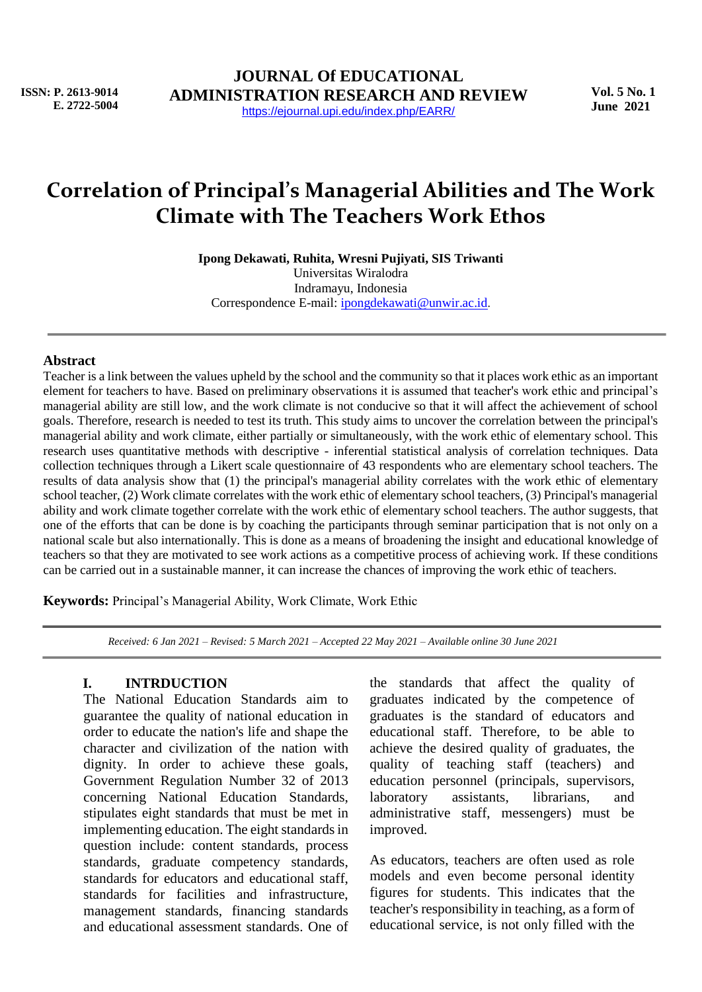**ISSN: P. 2613-9014 E. 2722-5004**

# **Correlation of Principal's Managerial Abilities and The Work Climate with The Teachers Work Ethos**

**Ipong Dekawati, Ruhita, Wresni Pujiyati, SIS Triwanti**

Universitas Wiralodra Indramayu, Indonesia Correspondence E-mail: [ipongdekawati@unwir.ac.id](mailto:ipongdekawati@unwir.ac.id).

#### **Abstract**

Teacher is a link between the values upheld by the school and the community so that it places work ethic as an important element for teachers to have. Based on preliminary observations it is assumed that teacher's work ethic and principal's managerial ability are still low, and the work climate is not conducive so that it will affect the achievement of school goals. Therefore, research is needed to test its truth. This study aims to uncover the correlation between the principal's managerial ability and work climate, either partially or simultaneously, with the work ethic of elementary school. This research uses quantitative methods with descriptive - inferential statistical analysis of correlation techniques. Data collection techniques through a Likert scale questionnaire of 43 respondents who are elementary school teachers. The results of data analysis show that (1) the principal's managerial ability correlates with the work ethic of elementary school teacher, (2) Work climate correlates with the work ethic of elementary school teachers, (3) Principal's managerial ability and work climate together correlate with the work ethic of elementary school teachers. The author suggests, that one of the efforts that can be done is by coaching the participants through seminar participation that is not only on a national scale but also internationally. This is done as a means of broadening the insight and educational knowledge of teachers so that they are motivated to see work actions as a competitive process of achieving work. If these conditions can be carried out in a sustainable manner, it can increase the chances of improving the work ethic of teachers.

**Keywords:** Principal's Managerial Ability, Work Climate, Work Ethic

*Received: 6 Jan 2021 – Revised: 5 March 2021 – Accepted 22 May 2021 – Available online 30 June 2021*

### **I. INTRDUCTION**

The National Education Standards aim to guarantee the quality of national education in order to educate the nation's life and shape the character and civilization of the nation with dignity. In order to achieve these goals, Government Regulation Number 32 of 2013 concerning National Education Standards, stipulates eight standards that must be met in implementing education. The eight standards in question include: content standards, process standards, graduate competency standards, standards for educators and educational staff, standards for facilities and infrastructure, management standards, financing standards and educational assessment standards. One of

the standards that affect the quality of graduates indicated by the competence of graduates is the standard of educators and educational staff. Therefore, to be able to achieve the desired quality of graduates, the quality of teaching staff (teachers) and education personnel (principals, supervisors, laboratory assistants, librarians, and administrative staff, messengers) must be improved.

As educators, teachers are often used as role models and even become personal identity figures for students. This indicates that the teacher's responsibility in teaching, as a form of educational service, is not only filled with the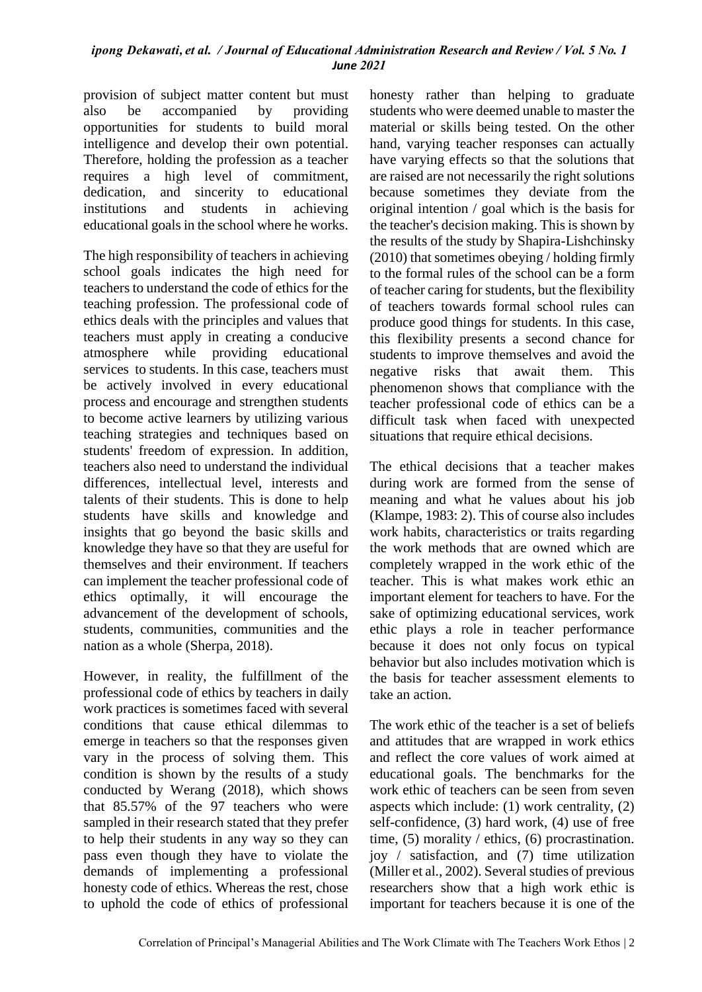provision of subject matter content but must also be accompanied by providing opportunities for students to build moral intelligence and develop their own potential. Therefore, holding the profession as a teacher requires a high level of commitment, dedication, and sincerity to educational institutions and students in achieving educational goals in the school where he works.

The high responsibility of teachers in achieving school goals indicates the high need for teachers to understand the code of ethics for the teaching profession. The professional code of ethics deals with the principles and values that teachers must apply in creating a conducive atmosphere while providing educational services to students. In this case, teachers must be actively involved in every educational process and encourage and strengthen students to become active learners by utilizing various teaching strategies and techniques based on students' freedom of expression. In addition, teachers also need to understand the individual differences, intellectual level, interests and talents of their students. This is done to help students have skills and knowledge and insights that go beyond the basic skills and knowledge they have so that they are useful for themselves and their environment. If teachers can implement the teacher professional code of ethics optimally, it will encourage the advancement of the development of schools, students, communities, communities and the nation as a whole (Sherpa, 2018).

However, in reality, the fulfillment of the professional code of ethics by teachers in daily work practices is sometimes faced with several conditions that cause ethical dilemmas to emerge in teachers so that the responses given vary in the process of solving them. This condition is shown by the results of a study conducted by Werang (2018), which shows that 85.57% of the 97 teachers who were sampled in their research stated that they prefer to help their students in any way so they can pass even though they have to violate the demands of implementing a professional honesty code of ethics. Whereas the rest, chose to uphold the code of ethics of professional honesty rather than helping to graduate students who were deemed unable to master the material or skills being tested. On the other hand, varying teacher responses can actually have varying effects so that the solutions that are raised are not necessarily the right solutions because sometimes they deviate from the original intention / goal which is the basis for the teacher's decision making. This is shown by the results of the study by Shapira-Lishchinsky (2010) that sometimes obeying / holding firmly to the formal rules of the school can be a form of teacher caring for students, but the flexibility of teachers towards formal school rules can produce good things for students. In this case, this flexibility presents a second chance for students to improve themselves and avoid the negative risks that await them. This phenomenon shows that compliance with the teacher professional code of ethics can be a difficult task when faced with unexpected situations that require ethical decisions.

The ethical decisions that a teacher makes during work are formed from the sense of meaning and what he values about his job (Klampe, 1983: 2). This of course also includes work habits, characteristics or traits regarding the work methods that are owned which are completely wrapped in the work ethic of the teacher. This is what makes work ethic an important element for teachers to have. For the sake of optimizing educational services, work ethic plays a role in teacher performance because it does not only focus on typical behavior but also includes motivation which is the basis for teacher assessment elements to take an action.

The work ethic of the teacher is a set of beliefs and attitudes that are wrapped in work ethics and reflect the core values of work aimed at educational goals. The benchmarks for the work ethic of teachers can be seen from seven aspects which include: (1) work centrality, (2) self-confidence, (3) hard work, (4) use of free time, (5) morality / ethics, (6) procrastination. joy / satisfaction, and (7) time utilization (Miller et al., 2002). Several studies of previous researchers show that a high work ethic is important for teachers because it is one of the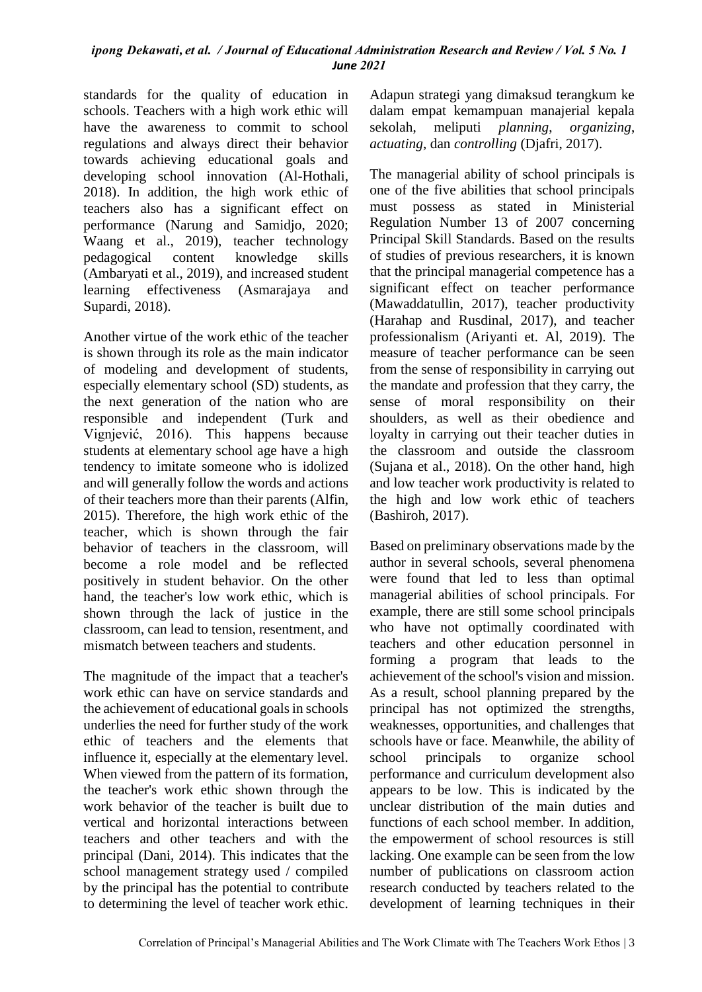standards for the quality of education in schools. Teachers with a high work ethic will have the awareness to commit to school regulations and always direct their behavior towards achieving educational goals and developing school innovation (Al-Hothali, 2018). In addition, the high work ethic of teachers also has a significant effect on performance (Narung and Samidjo, 2020; Waang et al., 2019), teacher technology pedagogical content knowledge skills (Ambaryati et al., 2019), and increased student learning effectiveness (Asmarajaya and Supardi, 2018).

Another virtue of the work ethic of the teacher is shown through its role as the main indicator of modeling and development of students, especially elementary school (SD) students, as the next generation of the nation who are responsible and independent (Turk and Vignjević, 2016). This happens because students at elementary school age have a high tendency to imitate someone who is idolized and will generally follow the words and actions of their teachers more than their parents (Alfin, 2015). Therefore, the high work ethic of the teacher, which is shown through the fair behavior of teachers in the classroom, will become a role model and be reflected positively in student behavior. On the other hand, the teacher's low work ethic, which is shown through the lack of justice in the classroom, can lead to tension, resentment, and mismatch between teachers and students.

The magnitude of the impact that a teacher's work ethic can have on service standards and the achievement of educational goals in schools underlies the need for further study of the work ethic of teachers and the elements that influence it, especially at the elementary level. When viewed from the pattern of its formation, the teacher's work ethic shown through the work behavior of the teacher is built due to vertical and horizontal interactions between teachers and other teachers and with the principal (Dani, 2014). This indicates that the school management strategy used / compiled by the principal has the potential to contribute to determining the level of teacher work ethic. Adapun strategi yang dimaksud terangkum ke dalam empat kemampuan manajerial kepala sekolah, meliputi *planning*, *organizing*, *actuating*, dan *controlling* (Djafri, 2017).

The managerial ability of school principals is one of the five abilities that school principals must possess as stated in Ministerial Regulation Number 13 of 2007 concerning Principal Skill Standards. Based on the results of studies of previous researchers, it is known that the principal managerial competence has a significant effect on teacher performance (Mawaddatullin, 2017), teacher productivity (Harahap and Rusdinal, 2017), and teacher professionalism (Ariyanti et. Al, 2019). The measure of teacher performance can be seen from the sense of responsibility in carrying out the mandate and profession that they carry, the sense of moral responsibility on their shoulders, as well as their obedience and loyalty in carrying out their teacher duties in the classroom and outside the classroom (Sujana et al., 2018). On the other hand, high and low teacher work productivity is related to the high and low work ethic of teachers (Bashiroh, 2017).

Based on preliminary observations made by the author in several schools, several phenomena were found that led to less than optimal managerial abilities of school principals. For example, there are still some school principals who have not optimally coordinated with teachers and other education personnel in forming a program that leads to the achievement of the school's vision and mission. As a result, school planning prepared by the principal has not optimized the strengths, weaknesses, opportunities, and challenges that schools have or face. Meanwhile, the ability of school principals to organize school performance and curriculum development also appears to be low. This is indicated by the unclear distribution of the main duties and functions of each school member. In addition, the empowerment of school resources is still lacking. One example can be seen from the low number of publications on classroom action research conducted by teachers related to the development of learning techniques in their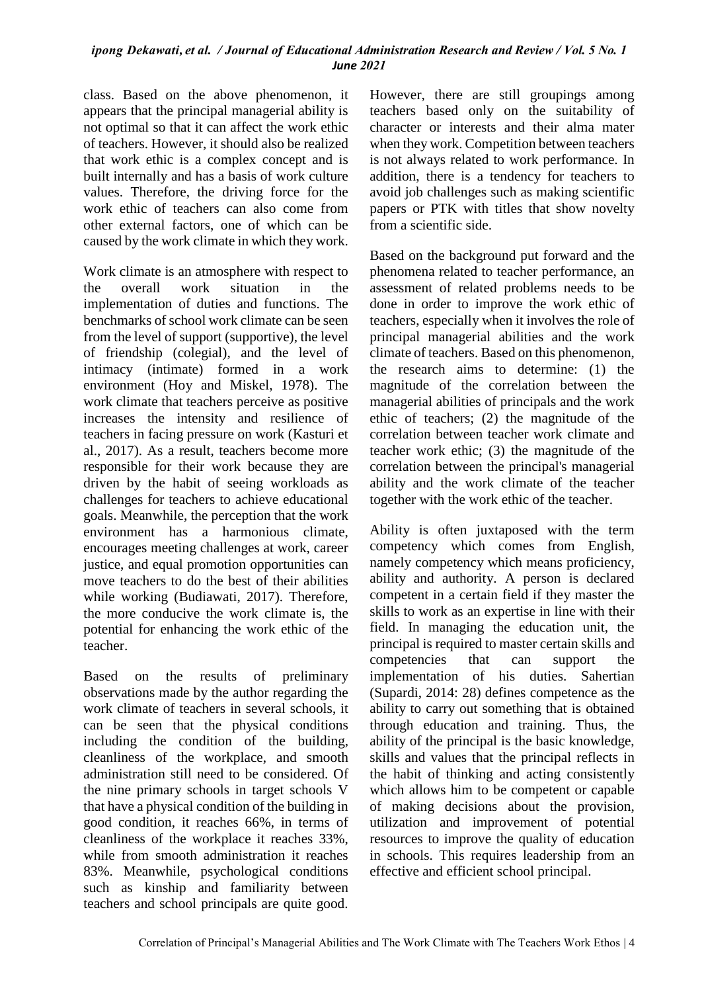class. Based on the above phenomenon, it appears that the principal managerial ability is not optimal so that it can affect the work ethic of teachers. However, it should also be realized that work ethic is a complex concept and is built internally and has a basis of work culture values. Therefore, the driving force for the work ethic of teachers can also come from other external factors, one of which can be caused by the work climate in which they work.

Work climate is an atmosphere with respect to the overall work situation in the implementation of duties and functions. The benchmarks of school work climate can be seen from the level of support (supportive), the level of friendship (colegial), and the level of intimacy (intimate) formed in a work environment (Hoy and Miskel, 1978). The work climate that teachers perceive as positive increases the intensity and resilience of teachers in facing pressure on work (Kasturi et al., 2017). As a result, teachers become more responsible for their work because they are driven by the habit of seeing workloads as challenges for teachers to achieve educational goals. Meanwhile, the perception that the work environment has a harmonious climate, encourages meeting challenges at work, career justice, and equal promotion opportunities can move teachers to do the best of their abilities while working (Budiawati, 2017). Therefore, the more conducive the work climate is, the potential for enhancing the work ethic of the teacher.

Based on the results of preliminary observations made by the author regarding the work climate of teachers in several schools, it can be seen that the physical conditions including the condition of the building, cleanliness of the workplace, and smooth administration still need to be considered. Of the nine primary schools in target schools V that have a physical condition of the building in good condition, it reaches 66%, in terms of cleanliness of the workplace it reaches 33%, while from smooth administration it reaches 83%. Meanwhile, psychological conditions such as kinship and familiarity between teachers and school principals are quite good.

However, there are still groupings among teachers based only on the suitability of character or interests and their alma mater when they work. Competition between teachers is not always related to work performance. In addition, there is a tendency for teachers to avoid job challenges such as making scientific papers or PTK with titles that show novelty from a scientific side.

Based on the background put forward and the phenomena related to teacher performance, an assessment of related problems needs to be done in order to improve the work ethic of teachers, especially when it involves the role of principal managerial abilities and the work climate of teachers. Based on this phenomenon, the research aims to determine: (1) the magnitude of the correlation between the managerial abilities of principals and the work ethic of teachers; (2) the magnitude of the correlation between teacher work climate and teacher work ethic; (3) the magnitude of the correlation between the principal's managerial ability and the work climate of the teacher together with the work ethic of the teacher.

Ability is often juxtaposed with the term competency which comes from English, namely competency which means proficiency, ability and authority. A person is declared competent in a certain field if they master the skills to work as an expertise in line with their field. In managing the education unit, the principal is required to master certain skills and competencies that can support the implementation of his duties. Sahertian (Supardi, 2014: 28) defines competence as the ability to carry out something that is obtained through education and training. Thus, the ability of the principal is the basic knowledge, skills and values that the principal reflects in the habit of thinking and acting consistently which allows him to be competent or capable of making decisions about the provision, utilization and improvement of potential resources to improve the quality of education in schools. This requires leadership from an effective and efficient school principal.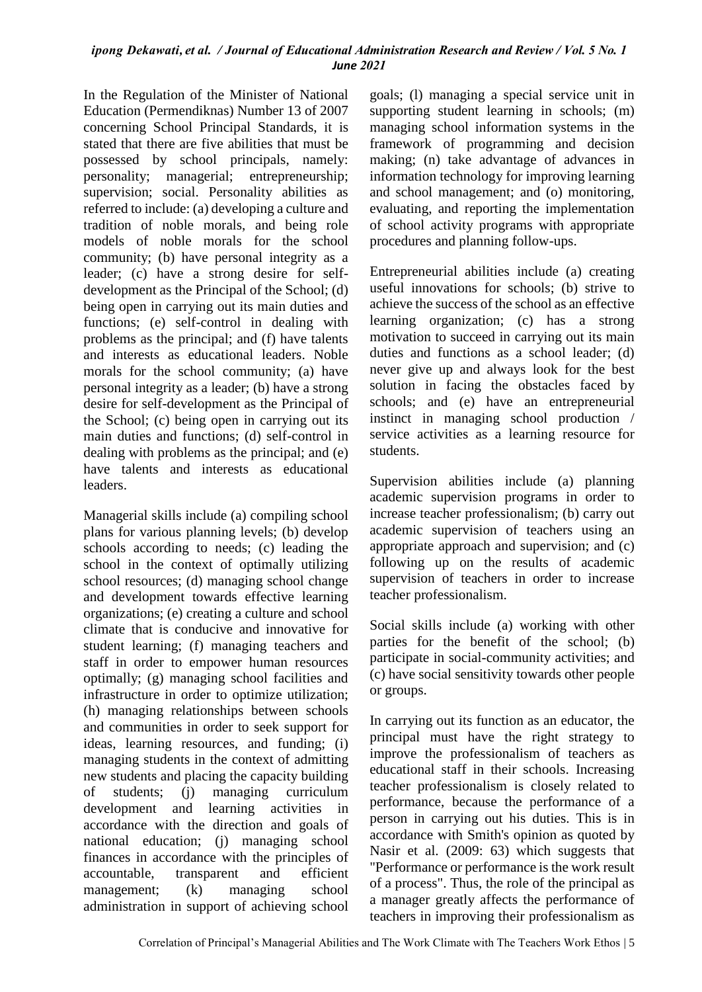In the Regulation of the Minister of National Education (Permendiknas) Number 13 of 2007 concerning School Principal Standards, it is stated that there are five abilities that must be possessed by school principals, namely: personality; managerial; entrepreneurship; supervision; social. Personality abilities as referred to include: (a) developing a culture and tradition of noble morals, and being role models of noble morals for the school community; (b) have personal integrity as a leader; (c) have a strong desire for selfdevelopment as the Principal of the School; (d) being open in carrying out its main duties and functions; (e) self-control in dealing with problems as the principal; and (f) have talents and interests as educational leaders. Noble morals for the school community; (a) have personal integrity as a leader; (b) have a strong desire for self-development as the Principal of the School; (c) being open in carrying out its main duties and functions; (d) self-control in dealing with problems as the principal; and (e) have talents and interests as educational leaders.

Managerial skills include (a) compiling school plans for various planning levels; (b) develop schools according to needs; (c) leading the school in the context of optimally utilizing school resources; (d) managing school change and development towards effective learning organizations; (e) creating a culture and school climate that is conducive and innovative for student learning; (f) managing teachers and staff in order to empower human resources optimally; (g) managing school facilities and infrastructure in order to optimize utilization; (h) managing relationships between schools and communities in order to seek support for ideas, learning resources, and funding; (i) managing students in the context of admitting new students and placing the capacity building of students; (j) managing curriculum development and learning activities in accordance with the direction and goals of national education; (j) managing school finances in accordance with the principles of accountable, transparent and efficient management; (k) managing school administration in support of achieving school goals; (l) managing a special service unit in supporting student learning in schools; (m) managing school information systems in the framework of programming and decision making; (n) take advantage of advances in information technology for improving learning and school management; and (o) monitoring, evaluating, and reporting the implementation of school activity programs with appropriate procedures and planning follow-ups.

Entrepreneurial abilities include (a) creating useful innovations for schools; (b) strive to achieve the success of the school as an effective learning organization; (c) has a strong motivation to succeed in carrying out its main duties and functions as a school leader; (d) never give up and always look for the best solution in facing the obstacles faced by schools; and (e) have an entrepreneurial instinct in managing school production / service activities as a learning resource for students.

Supervision abilities include (a) planning academic supervision programs in order to increase teacher professionalism; (b) carry out academic supervision of teachers using an appropriate approach and supervision; and (c) following up on the results of academic supervision of teachers in order to increase teacher professionalism.

Social skills include (a) working with other parties for the benefit of the school; (b) participate in social-community activities; and (c) have social sensitivity towards other people or groups.

In carrying out its function as an educator, the principal must have the right strategy to improve the professionalism of teachers as educational staff in their schools. Increasing teacher professionalism is closely related to performance, because the performance of a person in carrying out his duties. This is in accordance with Smith's opinion as quoted by Nasir et al. (2009: 63) which suggests that "Performance or performance is the work result of a process". Thus, the role of the principal as a manager greatly affects the performance of teachers in improving their professionalism as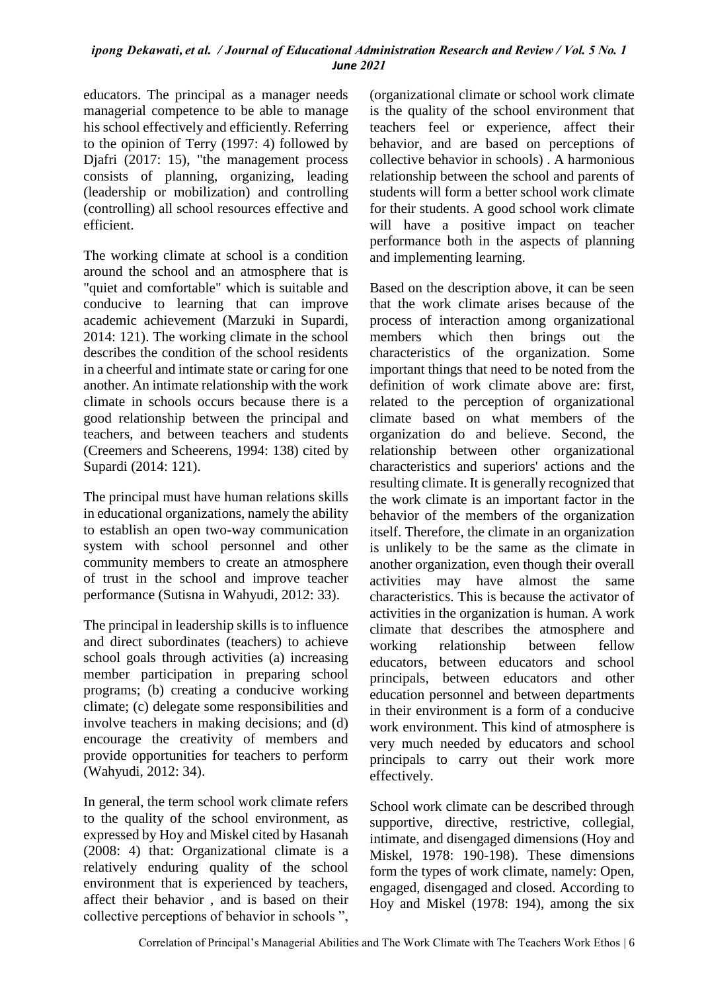educators. The principal as a manager needs managerial competence to be able to manage his school effectively and efficiently. Referring to the opinion of Terry (1997: 4) followed by Djafri (2017: 15), "the management process consists of planning, organizing, leading (leadership or mobilization) and controlling (controlling) all school resources effective and efficient.

The working climate at school is a condition around the school and an atmosphere that is "quiet and comfortable" which is suitable and conducive to learning that can improve academic achievement (Marzuki in Supardi, 2014: 121). The working climate in the school describes the condition of the school residents in a cheerful and intimate state or caring for one another. An intimate relationship with the work climate in schools occurs because there is a good relationship between the principal and teachers, and between teachers and students (Creemers and Scheerens, 1994: 138) cited by Supardi (2014: 121).

The principal must have human relations skills in educational organizations, namely the ability to establish an open two-way communication system with school personnel and other community members to create an atmosphere of trust in the school and improve teacher performance (Sutisna in Wahyudi, 2012: 33).

The principal in leadership skills is to influence and direct subordinates (teachers) to achieve school goals through activities (a) increasing member participation in preparing school programs; (b) creating a conducive working climate; (c) delegate some responsibilities and involve teachers in making decisions; and (d) encourage the creativity of members and provide opportunities for teachers to perform (Wahyudi, 2012: 34).

In general, the term school work climate refers to the quality of the school environment, as expressed by Hoy and Miskel cited by Hasanah (2008: 4) that: Organizational climate is a relatively enduring quality of the school environment that is experienced by teachers, affect their behavior , and is based on their collective perceptions of behavior in schools ", (organizational climate or school work climate is the quality of the school environment that teachers feel or experience, affect their behavior, and are based on perceptions of collective behavior in schools) . A harmonious relationship between the school and parents of students will form a better school work climate for their students. A good school work climate will have a positive impact on teacher performance both in the aspects of planning and implementing learning.

Based on the description above, it can be seen that the work climate arises because of the process of interaction among organizational members which then brings out the characteristics of the organization. Some important things that need to be noted from the definition of work climate above are: first, related to the perception of organizational climate based on what members of the organization do and believe. Second, the relationship between other organizational characteristics and superiors' actions and the resulting climate. It is generally recognized that the work climate is an important factor in the behavior of the members of the organization itself. Therefore, the climate in an organization is unlikely to be the same as the climate in another organization, even though their overall activities may have almost the same characteristics. This is because the activator of activities in the organization is human. A work climate that describes the atmosphere and working relationship between fellow educators, between educators and school principals, between educators and other education personnel and between departments in their environment is a form of a conducive work environment. This kind of atmosphere is very much needed by educators and school principals to carry out their work more effectively.

School work climate can be described through supportive, directive, restrictive, collegial, intimate, and disengaged dimensions (Hoy and Miskel, 1978: 190-198). These dimensions form the types of work climate, namely: Open, engaged, disengaged and closed. According to Hoy and Miskel (1978: 194), among the six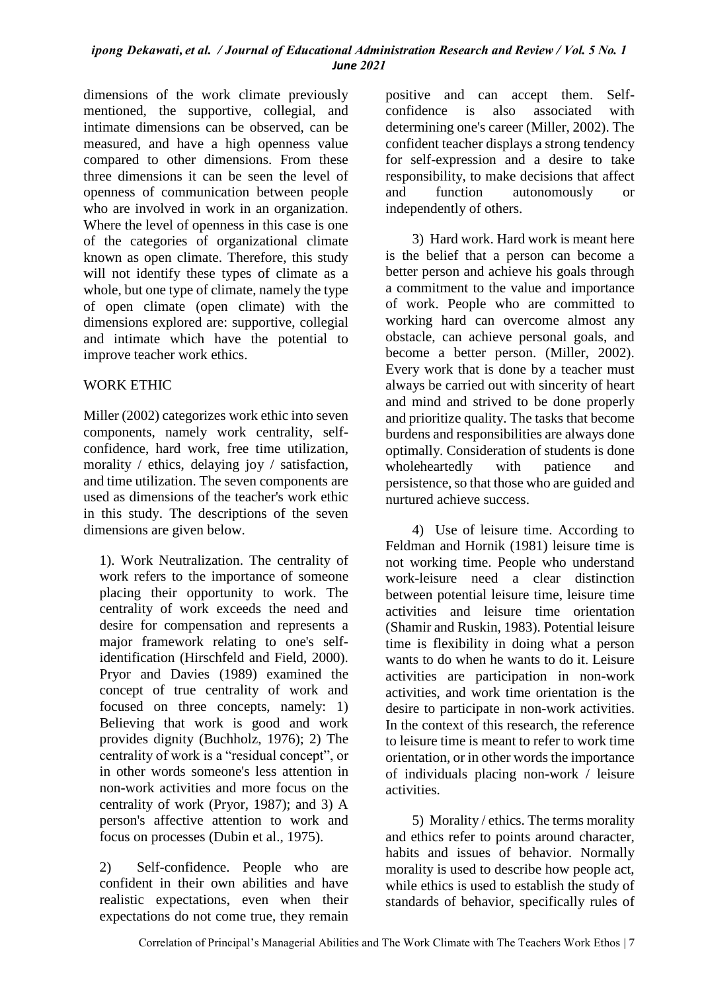dimensions of the work climate previously mentioned, the supportive, collegial, and intimate dimensions can be observed, can be measured, and have a high openness value compared to other dimensions. From these three dimensions it can be seen the level of openness of communication between people who are involved in work in an organization. Where the level of openness in this case is one of the categories of organizational climate known as open climate. Therefore, this study will not identify these types of climate as a whole, but one type of climate, namely the type of open climate (open climate) with the dimensions explored are: supportive, collegial and intimate which have the potential to improve teacher work ethics.

## WORK ETHIC

Miller (2002) categorizes work ethic into seven components, namely work centrality, selfconfidence, hard work, free time utilization, morality / ethics, delaying joy / satisfaction, and time utilization. The seven components are used as dimensions of the teacher's work ethic in this study. The descriptions of the seven dimensions are given below.

1). Work Neutralization. The centrality of work refers to the importance of someone placing their opportunity to work. The centrality of work exceeds the need and desire for compensation and represents a major framework relating to one's selfidentification (Hirschfeld and Field, 2000). Pryor and Davies (1989) examined the concept of true centrality of work and focused on three concepts, namely: 1) Believing that work is good and work provides dignity (Buchholz, 1976); 2) The centrality of work is a "residual concept", or in other words someone's less attention in non-work activities and more focus on the centrality of work (Pryor, 1987); and 3) A person's affective attention to work and focus on processes (Dubin et al., 1975).

2) Self-confidence. People who are confident in their own abilities and have realistic expectations, even when their expectations do not come true, they remain positive and can accept them. Selfconfidence is also associated with determining one's career (Miller, 2002). The confident teacher displays a strong tendency for self-expression and a desire to take responsibility, to make decisions that affect and function autonomously or independently of others.

3) Hard work. Hard work is meant here is the belief that a person can become a better person and achieve his goals through a commitment to the value and importance of work. People who are committed to working hard can overcome almost any obstacle, can achieve personal goals, and become a better person. (Miller, 2002). Every work that is done by a teacher must always be carried out with sincerity of heart and mind and strived to be done properly and prioritize quality. The tasks that become burdens and responsibilities are always done optimally. Consideration of students is done wholeheartedly with patience and persistence, so that those who are guided and nurtured achieve success.

4) Use of leisure time. According to Feldman and Hornik (1981) leisure time is not working time. People who understand work-leisure need a clear distinction between potential leisure time, leisure time activities and leisure time orientation (Shamir and Ruskin, 1983). Potential leisure time is flexibility in doing what a person wants to do when he wants to do it. Leisure activities are participation in non-work activities, and work time orientation is the desire to participate in non-work activities. In the context of this research, the reference to leisure time is meant to refer to work time orientation, or in other words the importance of individuals placing non-work / leisure activities.

5) Morality / ethics. The terms morality and ethics refer to points around character, habits and issues of behavior. Normally morality is used to describe how people act, while ethics is used to establish the study of standards of behavior, specifically rules of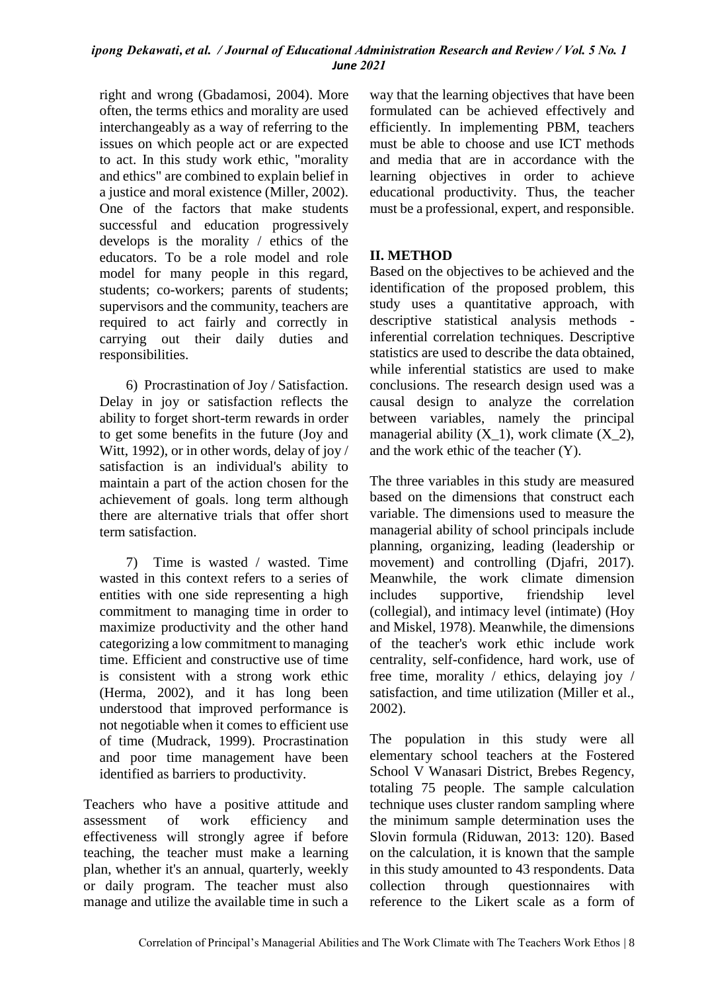right and wrong (Gbadamosi, 2004). More often, the terms ethics and morality are used interchangeably as a way of referring to the issues on which people act or are expected to act. In this study work ethic, "morality and ethics" are combined to explain belief in a justice and moral existence (Miller, 2002). One of the factors that make students successful and education progressively develops is the morality / ethics of the educators. To be a role model and role model for many people in this regard, students; co-workers; parents of students; supervisors and the community, teachers are required to act fairly and correctly in carrying out their daily duties and responsibilities.

6) Procrastination of Joy / Satisfaction. Delay in joy or satisfaction reflects the ability to forget short-term rewards in order to get some benefits in the future (Joy and Witt, 1992), or in other words, delay of joy / satisfaction is an individual's ability to maintain a part of the action chosen for the achievement of goals. long term although there are alternative trials that offer short term satisfaction.

7) Time is wasted / wasted. Time wasted in this context refers to a series of entities with one side representing a high commitment to managing time in order to maximize productivity and the other hand categorizing a low commitment to managing time. Efficient and constructive use of time is consistent with a strong work ethic (Herma, 2002), and it has long been understood that improved performance is not negotiable when it comes to efficient use of time (Mudrack, 1999). Procrastination and poor time management have been identified as barriers to productivity.

Teachers who have a positive attitude and assessment of work efficiency and effectiveness will strongly agree if before teaching, the teacher must make a learning plan, whether it's an annual, quarterly, weekly or daily program. The teacher must also manage and utilize the available time in such a way that the learning objectives that have been formulated can be achieved effectively and efficiently. In implementing PBM, teachers must be able to choose and use ICT methods and media that are in accordance with the learning objectives in order to achieve educational productivity. Thus, the teacher must be a professional, expert, and responsible.

## **II. METHOD**

Based on the objectives to be achieved and the identification of the proposed problem, this study uses a quantitative approach, with descriptive statistical analysis methods inferential correlation techniques. Descriptive statistics are used to describe the data obtained, while inferential statistics are used to make conclusions. The research design used was a causal design to analyze the correlation between variables, namely the principal managerial ability  $(X_1)$ , work climate  $(X_2)$ , and the work ethic of the teacher (Y).

The three variables in this study are measured based on the dimensions that construct each variable. The dimensions used to measure the managerial ability of school principals include planning, organizing, leading (leadership or movement) and controlling (Djafri, 2017). Meanwhile, the work climate dimension includes supportive, friendship level (collegial), and intimacy level (intimate) (Hoy and Miskel, 1978). Meanwhile, the dimensions of the teacher's work ethic include work centrality, self-confidence, hard work, use of free time, morality / ethics, delaying joy / satisfaction, and time utilization (Miller et al., 2002).

The population in this study were all elementary school teachers at the Fostered School V Wanasari District, Brebes Regency, totaling 75 people. The sample calculation technique uses cluster random sampling where the minimum sample determination uses the Slovin formula (Riduwan, 2013: 120). Based on the calculation, it is known that the sample in this study amounted to 43 respondents. Data collection through questionnaires with reference to the Likert scale as a form of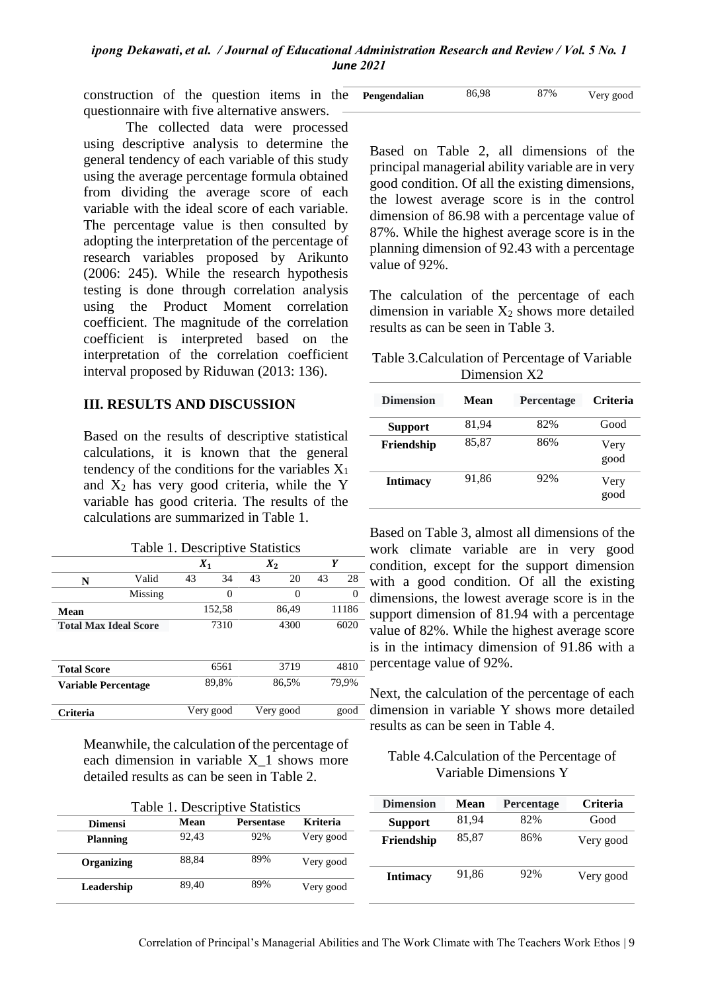construction of the question items in the questionnaire with five alternative answers.

The collected data were processed using descriptive analysis to determine the general tendency of each variable of this study using the average percentage formula obtained from dividing the average score of each variable with the ideal score of each variable. The percentage value is then consulted by adopting the interpretation of the percentage of research variables proposed by Arikunto (2006: 245). While the research hypothesis testing is done through correlation analysis using the Product Moment correlation coefficient. The magnitude of the correlation coefficient is interpreted based on the interpretation of the correlation coefficient interval proposed by Riduwan (2013: 136).

## **III. RESULTS AND DISCUSSION**

Based on the results of descriptive statistical calculations, it is known that the general tendency of the conditions for the variables  $X_1$ and  $X_2$  has very good criteria, while the Y variable has good criteria. The results of the calculations are summarized in Table 1.

| Table 1. Descriptive Statistics |         |           |        |      |           |      |       |
|---------------------------------|---------|-----------|--------|------|-----------|------|-------|
|                                 |         | $X_1$     |        |      | $X_2$     | Y    |       |
| N                               | Valid   | 43        | 34     | 43   | 20        | 43   | 28    |
|                                 | Missing |           | 0      |      | 0         |      | 0     |
| Mean                            |         |           | 152,58 |      | 86,49     |      | 11186 |
| <b>Total Max Ideal Score</b>    |         | 7310      |        | 4300 |           | 6020 |       |
|                                 |         |           |        |      |           |      |       |
| <b>Total Score</b>              |         |           | 6561   |      | 3719      |      | 4810  |
| Variable Percentage             |         |           | 89,8%  |      | 86,5%     |      | 79,9% |
| <b>Triteria</b>                 |         | Very good |        |      | Very good |      | good  |

Meanwhile, the calculation of the percentage of each dimension in variable X\_1 shows more detailed results as can be seen in Table 2.

| Table 1. Descriptive Statistics |       |                   |                 |  |  |
|---------------------------------|-------|-------------------|-----------------|--|--|
| <b>Dimensi</b>                  | Mean  | <b>Persentase</b> | <b>Kriteria</b> |  |  |
| <b>Planning</b>                 | 92.43 | 92%               | Very good       |  |  |
| Organizing                      | 88.84 | 89%               | Very good       |  |  |
| Leadership                      | 89,40 | 89%               | Very good       |  |  |

| Pengendalian | 86,98 | 87% | Very good |
|--------------|-------|-----|-----------|
|--------------|-------|-----|-----------|

Based on Table 2, all dimensions of the principal managerial ability variable are in very good condition. Of all the existing dimensions, the lowest average score is in the control dimension of 86.98 with a percentage value of 87%. While the highest average score is in the planning dimension of 92.43 with a percentage value of 92%.

The calculation of the percentage of each dimension in variable  $X_2$  shows more detailed results as can be seen in Table 3.

Table 3.Calculation of Percentage of Variable Dimension X<sub>2</sub>

| <b>Dimension</b> | Mean  | <b>Percentage</b> | <b>Criteria</b> |
|------------------|-------|-------------------|-----------------|
| <b>Support</b>   | 81,94 | 82%               | Good            |
| Friendship       | 85,87 | 86%               | Very<br>good    |
| <b>Intimacy</b>  | 91,86 | 92%               | Very<br>good    |

Based on Table 3, almost all dimensions of the work climate variable are in very good condition, except for the support dimension with a good condition. Of all the existing dimensions, the lowest average score is in the support dimension of 81.94 with a percentage value of 82%. While the highest average score is in the intimacy dimension of 91.86 with a percentage value of 92%.

Next, the calculation of the percentage of each dimension in variable Y shows more detailed results as can be seen in Table 4.

### Table 4.Calculation of the Percentage of Variable Dimensions Y

| <b>Dimension</b> | Mean  | <b>Percentage</b> | <b>Criteria</b> |
|------------------|-------|-------------------|-----------------|
| <b>Support</b>   | 81,94 | 82%               | Good            |
| Friendship       | 85,87 | 86%               | Very good       |
| <b>Intimacy</b>  | 91,86 | 92%               | Very good       |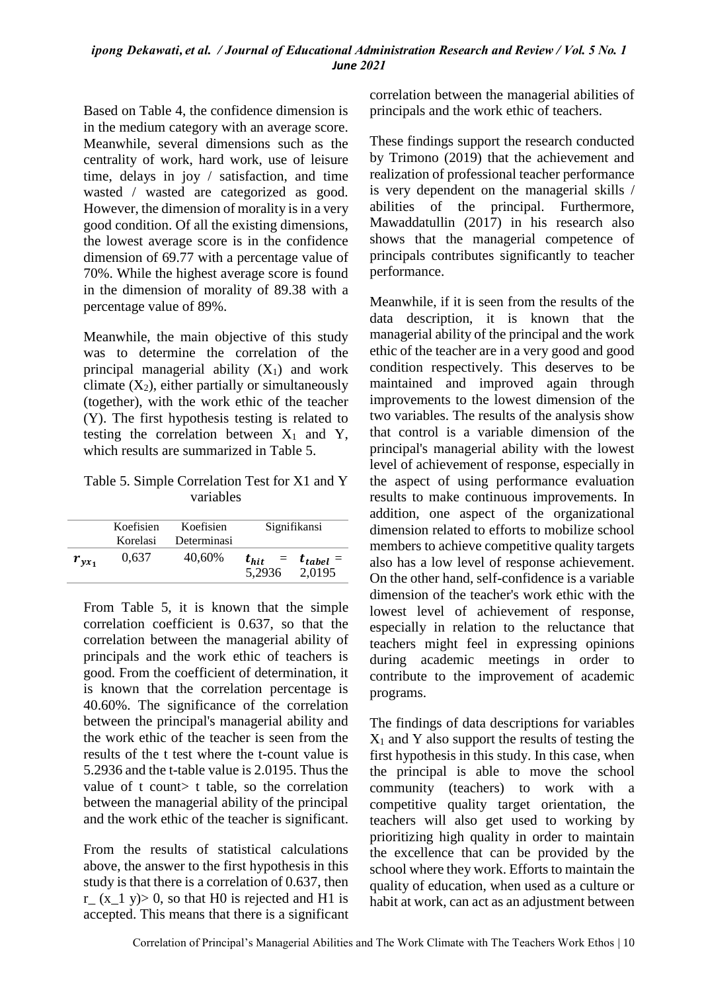Based on Table 4, the confidence dimension is in the medium category with an average score. Meanwhile, several dimensions such as the centrality of work, hard work, use of leisure time, delays in joy / satisfaction, and time wasted / wasted are categorized as good. However, the dimension of morality is in a very good condition. Of all the existing dimensions, the lowest average score is in the confidence dimension of 69.77 with a percentage value of 70%. While the highest average score is found in the dimension of morality of 89.38 with a percentage value of 89%.

Meanwhile, the main objective of this study was to determine the correlation of the principal managerial ability  $(X_1)$  and work climate  $(X_2)$ , either partially or simultaneously (together), with the work ethic of the teacher (Y). The first hypothesis testing is related to testing the correlation between  $X_1$  and Y, which results are summarized in Table 5.

Table 5. Simple Correlation Test for X1 and Y variables

|            | Koefisien<br>Koefisien<br>Determinasi<br>Korelasi |        | Signifikansi        |                              |
|------------|---------------------------------------------------|--------|---------------------|------------------------------|
| $r_{yx_1}$ | 0,637                                             | 40,60% | $t_{hit}$<br>5.2936 | $=$ $t_{table1}$ =<br>2,0195 |

From Table 5, it is known that the simple correlation coefficient is 0.637, so that the correlation between the managerial ability of principals and the work ethic of teachers is good. From the coefficient of determination, it is known that the correlation percentage is 40.60%. The significance of the correlation between the principal's managerial ability and the work ethic of the teacher is seen from the results of the t test where the t-count value is 5.2936 and the t-table value is 2.0195. Thus the value of t count t table, so the correlation between the managerial ability of the principal and the work ethic of the teacher is significant.

From the results of statistical calculations above, the answer to the first hypothesis in this study is that there is a correlation of 0.637, then r (x 1 y) $> 0$ , so that H0 is rejected and H1 is accepted. This means that there is a significant correlation between the managerial abilities of principals and the work ethic of teachers.

These findings support the research conducted by Trimono (2019) that the achievement and realization of professional teacher performance is very dependent on the managerial skills / abilities of the principal. Furthermore, Mawaddatullin (2017) in his research also shows that the managerial competence of principals contributes significantly to teacher performance.

Meanwhile, if it is seen from the results of the data description, it is known that the managerial ability of the principal and the work ethic of the teacher are in a very good and good condition respectively. This deserves to be maintained and improved again through improvements to the lowest dimension of the two variables. The results of the analysis show that control is a variable dimension of the principal's managerial ability with the lowest level of achievement of response, especially in the aspect of using performance evaluation results to make continuous improvements. In addition, one aspect of the organizational dimension related to efforts to mobilize school members to achieve competitive quality targets also has a low level of response achievement. On the other hand, self-confidence is a variable dimension of the teacher's work ethic with the lowest level of achievement of response, especially in relation to the reluctance that teachers might feel in expressing opinions during academic meetings in order to contribute to the improvement of academic programs.

The findings of data descriptions for variables  $X_1$  and Y also support the results of testing the first hypothesis in this study. In this case, when the principal is able to move the school community (teachers) to work with a competitive quality target orientation, the teachers will also get used to working by prioritizing high quality in order to maintain the excellence that can be provided by the school where they work. Efforts to maintain the quality of education, when used as a culture or habit at work, can act as an adjustment between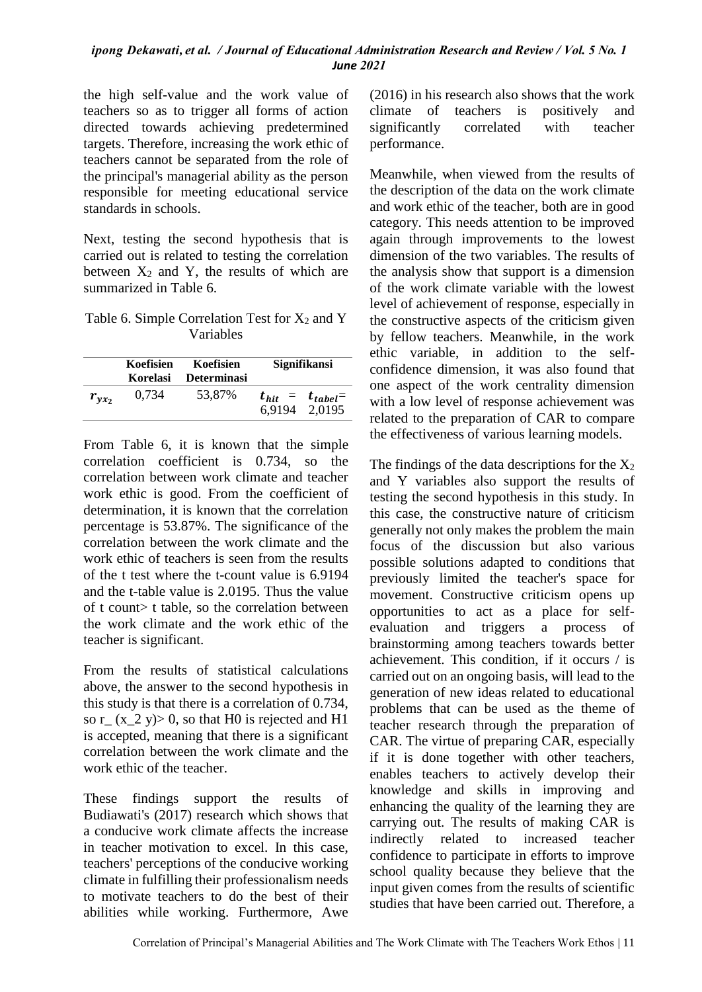the high self-value and the work value of teachers so as to trigger all forms of action directed towards achieving predetermined targets. Therefore, increasing the work ethic of teachers cannot be separated from the role of the principal's managerial ability as the person responsible for meeting educational service standards in schools.

Next, testing the second hypothesis that is carried out is related to testing the correlation between  $X_2$  and Y, the results of which are summarized in Table 6.

Table 6. Simple Correlation Test for  $X_2$  and Y Variables

|            | Koefisien<br><b>Korelasi</b> | Koefisien<br>Determinasi | Signifikansi |                                          |
|------------|------------------------------|--------------------------|--------------|------------------------------------------|
| $r_{yx_2}$ | 0,734                        | 53,87%                   |              | $t_{hit}$ = $t_{table}$<br>6.9194 2.0195 |

From Table 6, it is known that the simple correlation coefficient is 0.734, so the correlation between work climate and teacher work ethic is good. From the coefficient of determination, it is known that the correlation percentage is 53.87%. The significance of the correlation between the work climate and the work ethic of teachers is seen from the results of the t test where the t-count value is 6.9194 and the t-table value is 2.0195. Thus the value of t count> t table, so the correlation between the work climate and the work ethic of the teacher is significant.

From the results of statistical calculations above, the answer to the second hypothesis in this study is that there is a correlation of 0.734, so r<sub> $(x_2 y) > 0$ , so that H0 is rejected and H1</sub> is accepted, meaning that there is a significant correlation between the work climate and the work ethic of the teacher.

These findings support the results of Budiawati's (2017) research which shows that a conducive work climate affects the increase in teacher motivation to excel. In this case, teachers' perceptions of the conducive working climate in fulfilling their professionalism needs to motivate teachers to do the best of their abilities while working. Furthermore, Awe (2016) in his research also shows that the work climate of teachers is positively and significantly correlated with teacher performance.

Meanwhile, when viewed from the results of the description of the data on the work climate and work ethic of the teacher, both are in good category. This needs attention to be improved again through improvements to the lowest dimension of the two variables. The results of the analysis show that support is a dimension of the work climate variable with the lowest level of achievement of response, especially in the constructive aspects of the criticism given by fellow teachers. Meanwhile, in the work ethic variable, in addition to the selfconfidence dimension, it was also found that one aspect of the work centrality dimension with a low level of response achievement was related to the preparation of CAR to compare the effectiveness of various learning models.

The findings of the data descriptions for the  $X_2$ and Y variables also support the results of testing the second hypothesis in this study. In this case, the constructive nature of criticism generally not only makes the problem the main focus of the discussion but also various possible solutions adapted to conditions that previously limited the teacher's space for movement. Constructive criticism opens up opportunities to act as a place for selfevaluation and triggers a process of brainstorming among teachers towards better achievement. This condition, if it occurs / is carried out on an ongoing basis, will lead to the generation of new ideas related to educational problems that can be used as the theme of teacher research through the preparation of CAR. The virtue of preparing CAR, especially if it is done together with other teachers, enables teachers to actively develop their knowledge and skills in improving and enhancing the quality of the learning they are carrying out. The results of making CAR is indirectly related to increased teacher confidence to participate in efforts to improve school quality because they believe that the input given comes from the results of scientific studies that have been carried out. Therefore, a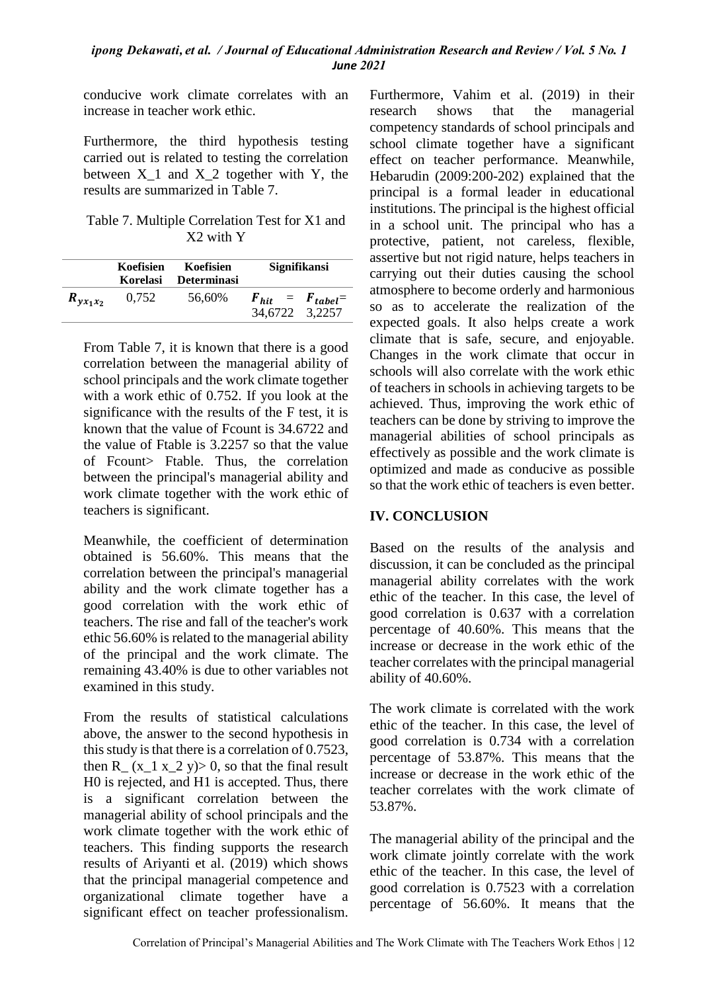conducive work climate correlates with an increase in teacher work ethic.

Furthermore, the third hypothesis testing carried out is related to testing the correlation between  $X_1$  and  $X_2$  together with Y, the results are summarized in Table 7.

Table 7. Multiple Correlation Test for X1 and X2 with Y

|               | Koefisien<br>Korelasi | Koefisien<br>Determinasi | Signifikansi                               |  |
|---------------|-----------------------|--------------------------|--------------------------------------------|--|
| $R_{yx_1x_2}$ | 0.752                 | 56,60%                   | $F_{hit}$ = $F_{tableI}$<br>34,6722 3,2257 |  |

From Table 7, it is known that there is a good correlation between the managerial ability of school principals and the work climate together with a work ethic of 0.752. If you look at the significance with the results of the F test, it is known that the value of Fcount is 34.6722 and the value of Ftable is 3.2257 so that the value of Fcount> Ftable. Thus, the correlation between the principal's managerial ability and work climate together with the work ethic of teachers is significant.

Meanwhile, the coefficient of determination obtained is 56.60%. This means that the correlation between the principal's managerial ability and the work climate together has a good correlation with the work ethic of teachers. The rise and fall of the teacher's work ethic 56.60% is related to the managerial ability of the principal and the work climate. The remaining 43.40% is due to other variables not examined in this study.

From the results of statistical calculations above, the answer to the second hypothesis in this study is that there is a correlation of 0.7523, then R<sub>\_</sub> (x\_1 x\_2 y) > 0, so that the final result H0 is rejected, and H1 is accepted. Thus, there is a significant correlation between the managerial ability of school principals and the work climate together with the work ethic of teachers. This finding supports the research results of Ariyanti et al. (2019) which shows that the principal managerial competence and organizational climate together have a significant effect on teacher professionalism. Furthermore, Vahim et al. (2019) in their research shows that the managerial competency standards of school principals and school climate together have a significant effect on teacher performance. Meanwhile, Hebarudin (2009:200-202) explained that the principal is a formal leader in educational institutions. The principal is the highest official in a school unit. The principal who has a protective, patient, not careless, flexible, assertive but not rigid nature, helps teachers in carrying out their duties causing the school atmosphere to become orderly and harmonious so as to accelerate the realization of the expected goals. It also helps create a work climate that is safe, secure, and enjoyable. Changes in the work climate that occur in schools will also correlate with the work ethic of teachers in schools in achieving targets to be achieved. Thus, improving the work ethic of teachers can be done by striving to improve the managerial abilities of school principals as effectively as possible and the work climate is optimized and made as conducive as possible so that the work ethic of teachers is even better.

## **IV. CONCLUSION**

Based on the results of the analysis and discussion, it can be concluded as the principal managerial ability correlates with the work ethic of the teacher. In this case, the level of good correlation is 0.637 with a correlation percentage of 40.60%. This means that the increase or decrease in the work ethic of the teacher correlates with the principal managerial ability of 40.60%.

The work climate is correlated with the work ethic of the teacher. In this case, the level of good correlation is 0.734 with a correlation percentage of 53.87%. This means that the increase or decrease in the work ethic of the teacher correlates with the work climate of 53.87%.

The managerial ability of the principal and the work climate jointly correlate with the work ethic of the teacher. In this case, the level of good correlation is 0.7523 with a correlation percentage of 56.60%. It means that the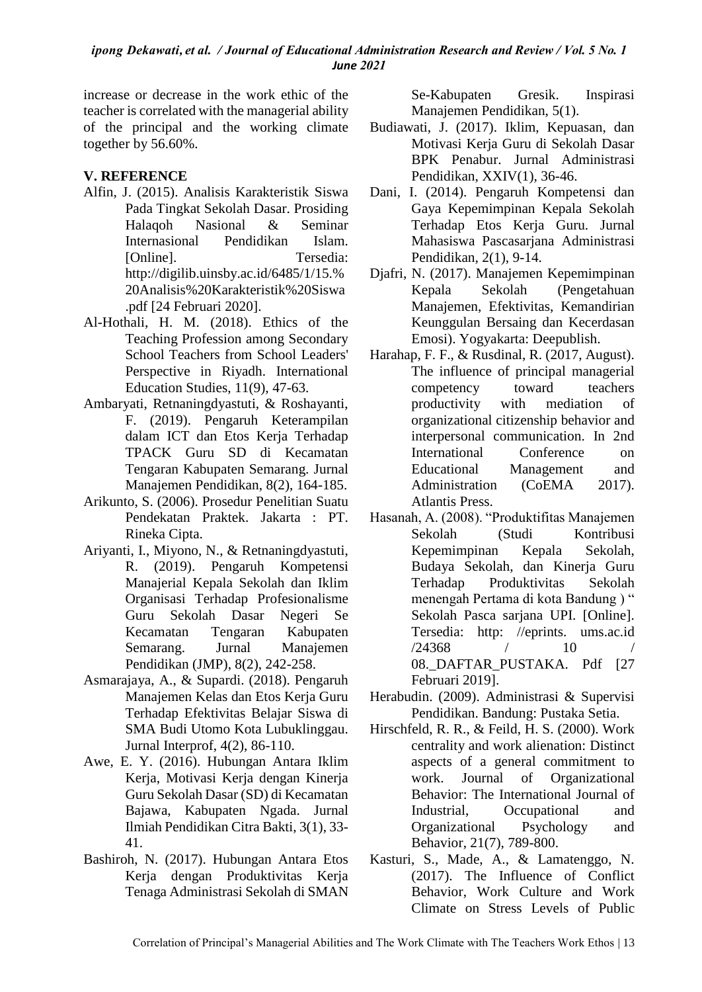increase or decrease in the work ethic of the teacher is correlated with the managerial ability of the principal and the working climate together by 56.60%.

## **V. REFERENCE**

- Alfin, J. (2015). Analisis Karakteristik Siswa Pada Tingkat Sekolah Dasar. Prosiding Halaqoh Nasional & Seminar Internasional Pendidikan Islam. [Online]. Tersedia: http://digilib.uinsby.ac.id/6485/1/15.% 20Analisis%20Karakteristik%20Siswa .pdf [24 Februari 2020].
- Al-Hothali, H. M. (2018). Ethics of the Teaching Profession among Secondary School Teachers from School Leaders' Perspective in Riyadh. International Education Studies, 11(9), 47-63.
- Ambaryati, Retnaningdyastuti, & Roshayanti, F. (2019). Pengaruh Keterampilan dalam ICT dan Etos Kerja Terhadap TPACK Guru SD di Kecamatan Tengaran Kabupaten Semarang. Jurnal Manajemen Pendidikan, 8(2), 164-185.
- Arikunto, S. (2006). Prosedur Penelitian Suatu Pendekatan Praktek. Jakarta : PT. Rineka Cipta.
- Ariyanti, I., Miyono, N., & Retnaningdyastuti, R. (2019). Pengaruh Kompetensi Manajerial Kepala Sekolah dan Iklim Organisasi Terhadap Profesionalisme Guru Sekolah Dasar Negeri Se Kecamatan Tengaran Kabupaten Semarang. Jurnal Manajemen Pendidikan (JMP), 8(2), 242-258.
- Asmarajaya, A., & Supardi. (2018). Pengaruh Manajemen Kelas dan Etos Kerja Guru Terhadap Efektivitas Belajar Siswa di SMA Budi Utomo Kota Lubuklinggau. Jurnal Interprof, 4(2), 86-110.
- Awe, E. Y. (2016). Hubungan Antara Iklim Kerja, Motivasi Kerja dengan Kinerja Guru Sekolah Dasar (SD) di Kecamatan Bajawa, Kabupaten Ngada. Jurnal Ilmiah Pendidikan Citra Bakti, 3(1), 33- 41.
- Bashiroh, N. (2017). Hubungan Antara Etos Kerja dengan Produktivitas Kerja Tenaga Administrasi Sekolah di SMAN

Se-Kabupaten Gresik. Inspirasi Manajemen Pendidikan, 5(1).

- Budiawati, J. (2017). Iklim, Kepuasan, dan Motivasi Kerja Guru di Sekolah Dasar BPK Penabur. Jurnal Administrasi Pendidikan, XXIV(1), 36-46.
- Dani, I. (2014). Pengaruh Kompetensi dan Gaya Kepemimpinan Kepala Sekolah Terhadap Etos Kerja Guru. Jurnal Mahasiswa Pascasarjana Administrasi Pendidikan, 2(1), 9-14.
- Djafri, N. (2017). Manajemen Kepemimpinan Kepala Sekolah (Pengetahuan Manajemen, Efektivitas, Kemandirian Keunggulan Bersaing dan Kecerdasan Emosi). Yogyakarta: Deepublish.
- Harahap, F. F., & Rusdinal, R. (2017, August). The influence of principal managerial competency toward teachers productivity with mediation of organizational citizenship behavior and interpersonal communication. In 2nd International Conference on Educational Management and Administration (CoEMA 2017). Atlantis Press.
- Hasanah, A. (2008). "Produktifitas Manajemen Sekolah (Studi Kontribusi Kepemimpinan Kepala Sekolah, Budaya Sekolah, dan Kinerja Guru Terhadap Produktivitas Sekolah menengah Pertama di kota Bandung ) " Sekolah Pasca sarjana UPI. [Online]. Tersedia: http: //eprints. ums.ac.id  $/24368$  / 10 08. DAFTAR PUSTAKA. Pdf [27 Februari 2019].
- Herabudin. (2009). Administrasi & Supervisi Pendidikan. Bandung: Pustaka Setia.
- Hirschfeld, R. R., & Feild, H. S. (2000). Work centrality and work alienation: Distinct aspects of a general commitment to work. Journal of Organizational Behavior: The International Journal of Industrial, Occupational and Organizational Psychology and Behavior, 21(7), 789-800.
- Kasturi, S., Made, A., & Lamatenggo, N. (2017). The Influence of Conflict Behavior, Work Culture and Work Climate on Stress Levels of Public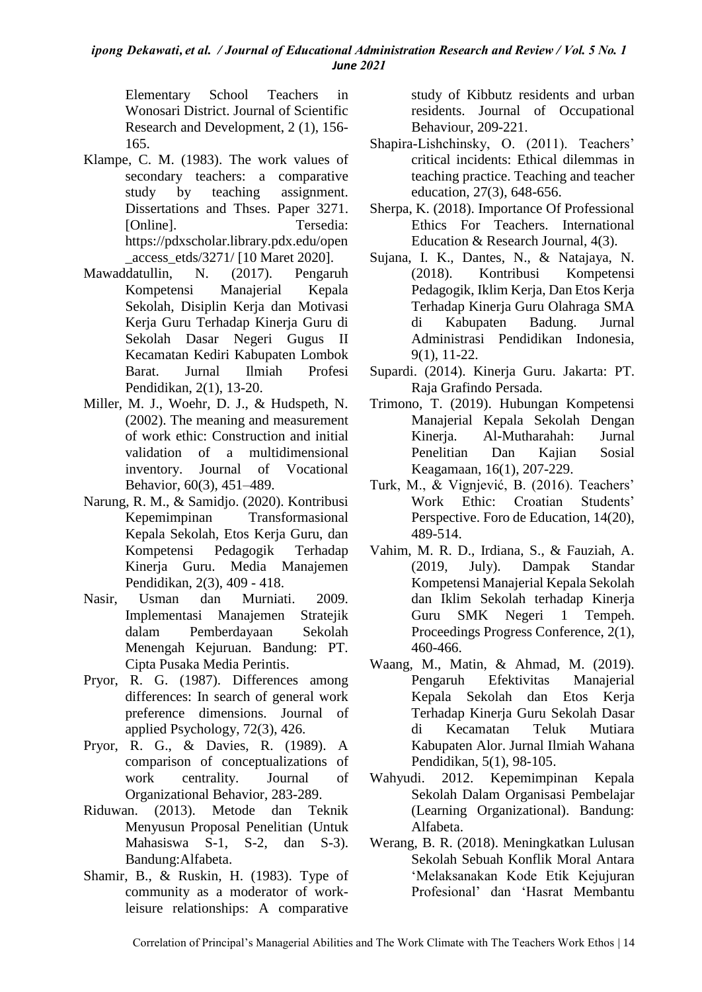Elementary School Teachers in Wonosari District. Journal of Scientific Research and Development, 2 (1), 156- 165.

- Klampe, C. M. (1983). The work values of secondary teachers: a comparative study by teaching assignment. Dissertations and Thses. Paper 3271. [Online]. Tersedia: https://pdxscholar.library.pdx.edu/open \_access\_etds/3271/ [10 Maret 2020].
- Mawaddatullin, N. (2017). Pengaruh Kompetensi Manajerial Kepala Sekolah, Disiplin Kerja dan Motivasi Kerja Guru Terhadap Kinerja Guru di Sekolah Dasar Negeri Gugus II Kecamatan Kediri Kabupaten Lombok Barat. Jurnal Ilmiah Profesi Pendidikan, 2(1), 13-20.
- Miller, M. J., Woehr, D. J., & Hudspeth, N. (2002). The meaning and measurement of work ethic: Construction and initial validation of a multidimensional inventory. Journal of Vocational Behavior, 60(3), 451–489.
- Narung, R. M., & Samidjo. (2020). Kontribusi Kepemimpinan Transformasional Kepala Sekolah, Etos Kerja Guru, dan Kompetensi Pedagogik Terhadap Kinerja Guru. Media Manajemen Pendidikan, 2(3), 409 - 418.
- Nasir, Usman dan Murniati. 2009. Implementasi Manajemen Stratejik dalam Pemberdayaan Sekolah Menengah Kejuruan. Bandung: PT. Cipta Pusaka Media Perintis.
- Pryor, R. G. (1987). Differences among differences: In search of general work preference dimensions. Journal of applied Psychology, 72(3), 426.
- Pryor, R. G., & Davies, R. (1989). A comparison of conceptualizations of work centrality. Journal of Organizational Behavior, 283-289.
- Riduwan. (2013). Metode dan Teknik Menyusun Proposal Penelitian (Untuk Mahasiswa S-1, S-2, dan S-3). Bandung:Alfabeta.
- Shamir, B., & Ruskin, H. (1983). Type of community as a moderator of workleisure relationships: A comparative

study of Kibbutz residents and urban residents. Journal of Occupational Behaviour, 209-221.

- Shapira-Lishchinsky, O. (2011). Teachers' critical incidents: Ethical dilemmas in teaching practice. Teaching and teacher education, 27(3), 648-656.
- Sherpa, K. (2018). Importance Of Professional Ethics For Teachers. International Education & Research Journal, 4(3).
- Sujana, I. K., Dantes, N., & Natajaya, N. (2018). Kontribusi Kompetensi Pedagogik, Iklim Kerja, Dan Etos Kerja Terhadap Kinerja Guru Olahraga SMA di Kabupaten Badung. Jurnal Administrasi Pendidikan Indonesia, 9(1), 11-22.
- Supardi. (2014). Kinerja Guru. Jakarta: PT. Raja Grafindo Persada.
- Trimono, T. (2019). Hubungan Kompetensi Manajerial Kepala Sekolah Dengan Kinerja. Al-Mutharahah: Jurnal Penelitian Dan Kaiian Sosial Keagamaan, 16(1), 207-229.
- Turk, M., & Vignjević, B. (2016). Teachers' Work Ethic: Croatian Students' Perspective. Foro de Education, 14(20), 489-514.
- Vahim, M. R. D., Irdiana, S., & Fauziah, A. (2019, July). Dampak Standar Kompetensi Manajerial Kepala Sekolah dan Iklim Sekolah terhadap Kinerja Guru SMK Negeri 1 Tempeh. Proceedings Progress Conference, 2(1), 460-466.
- Waang, M., Matin, & Ahmad, M. (2019). Pengaruh Efektivitas Manajerial Kepala Sekolah dan Etos Kerja Terhadap Kinerja Guru Sekolah Dasar di Kecamatan Teluk Mutiara Kabupaten Alor. Jurnal Ilmiah Wahana Pendidikan, 5(1), 98-105.
- Wahyudi. 2012. Kepemimpinan Kepala Sekolah Dalam Organisasi Pembelajar (Learning Organizational). Bandung: Alfabeta.
- Werang, B. R. (2018). Meningkatkan Lulusan Sekolah Sebuah Konflik Moral Antara 'Melaksanakan Kode Etik Kejujuran Profesional' dan 'Hasrat Membantu